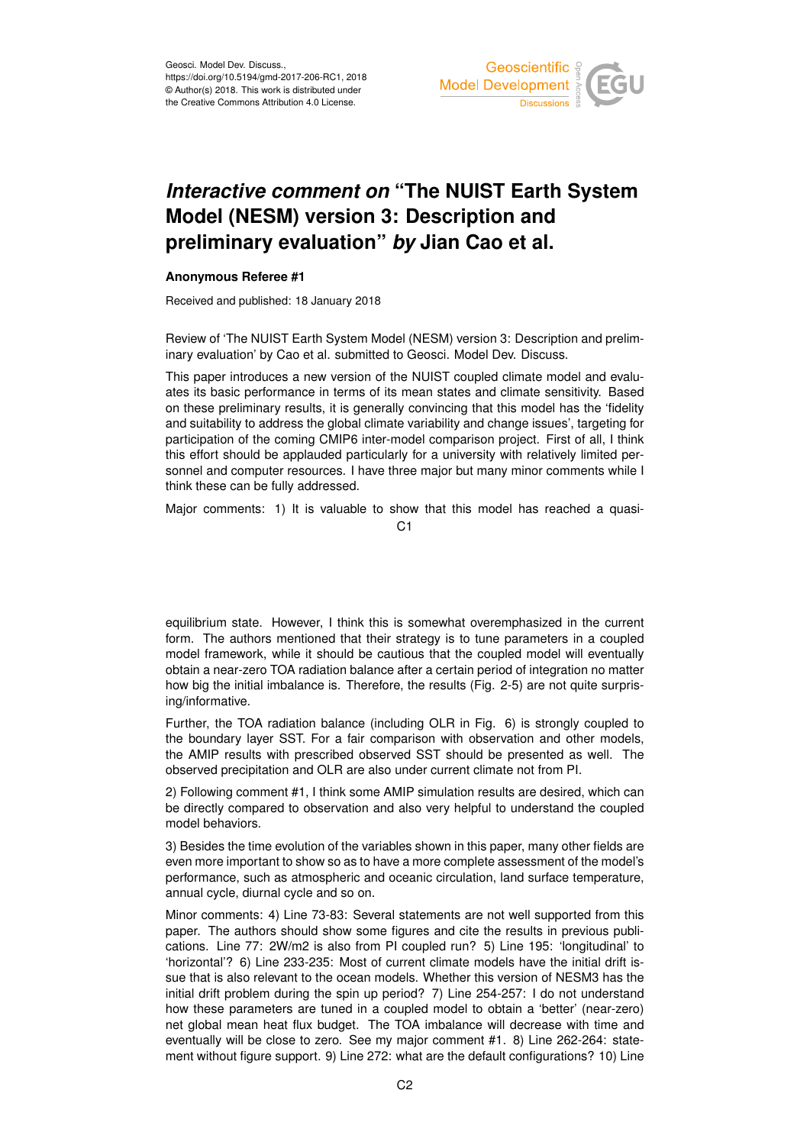

## *Interactive comment on* **"The NUIST Earth System Model (NESM) version 3: Description and preliminary evaluation"** *by* **Jian Cao et al.**

## **Anonymous Referee #1**

Received and published: 18 January 2018

Review of 'The NUIST Earth System Model (NESM) version 3: Description and preliminary evaluation' by Cao et al. submitted to Geosci. Model Dev. Discuss.

This paper introduces a new version of the NUIST coupled climate model and evaluates its basic performance in terms of its mean states and climate sensitivity. Based on these preliminary results, it is generally convincing that this model has the 'fidelity and suitability to address the global climate variability and change issues', targeting for participation of the coming CMIP6 inter-model comparison project. First of all, I think this effort should be applauded particularly for a university with relatively limited personnel and computer resources. I have three major but many minor comments while I think these can be fully addressed.

Major comments: 1) It is valuable to show that this model has reached a quasi-

 $C<sub>1</sub>$ 

equilibrium state. However, I think this is somewhat overemphasized in the current form. The authors mentioned that their strategy is to tune parameters in a coupled model framework, while it should be cautious that the coupled model will eventually obtain a near-zero TOA radiation balance after a certain period of integration no matter how big the initial imbalance is. Therefore, the results (Fig. 2-5) are not quite surprising/informative.

Further, the TOA radiation balance (including OLR in Fig. 6) is strongly coupled to the boundary layer SST. For a fair comparison with observation and other models, the AMIP results with prescribed observed SST should be presented as well. The observed precipitation and OLR are also under current climate not from PI.

2) Following comment #1, I think some AMIP simulation results are desired, which can be directly compared to observation and also very helpful to understand the coupled model behaviors.

3) Besides the time evolution of the variables shown in this paper, many other fields are even more important to show so as to have a more complete assessment of the model's performance, such as atmospheric and oceanic circulation, land surface temperature, annual cycle, diurnal cycle and so on.

Minor comments: 4) Line 73-83: Several statements are not well supported from this paper. The authors should show some figures and cite the results in previous publications. Line 77: 2W/m2 is also from PI coupled run? 5) Line 195: 'longitudinal' to 'horizontal'? 6) Line 233-235: Most of current climate models have the initial drift issue that is also relevant to the ocean models. Whether this version of NESM3 has the initial drift problem during the spin up period? 7) Line 254-257: I do not understand how these parameters are tuned in a coupled model to obtain a 'better' (near-zero) net global mean heat flux budget. The TOA imbalance will decrease with time and eventually will be close to zero. See my major comment #1. 8) Line 262-264: statement without figure support. 9) Line 272: what are the default configurations? 10) Line